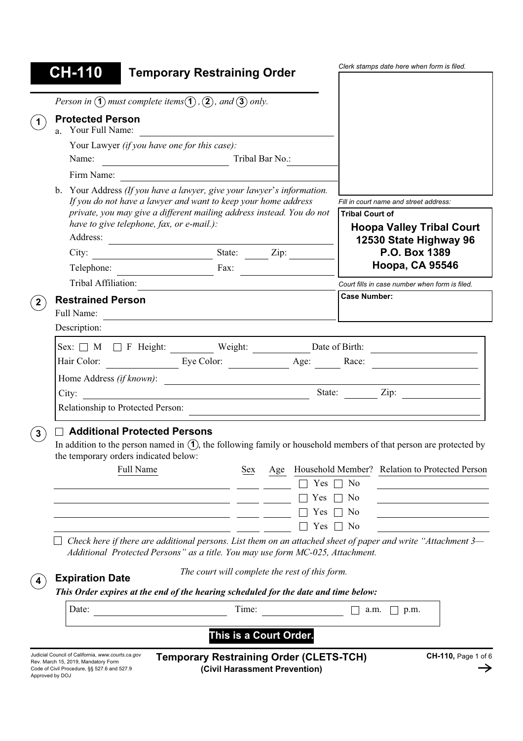|                | <b>CH-110</b>                                                                                                                  | <b>Temporary Restraining Order</b>                                                                                     |                                                |     |               |                                                                                                                                |  |
|----------------|--------------------------------------------------------------------------------------------------------------------------------|------------------------------------------------------------------------------------------------------------------------|------------------------------------------------|-----|---------------|--------------------------------------------------------------------------------------------------------------------------------|--|
|                |                                                                                                                                |                                                                                                                        |                                                |     |               |                                                                                                                                |  |
|                |                                                                                                                                | Person in $\Omega$ must complete items $\Omega$ , $\Omega$ , and $\Omega$ only.                                        |                                                |     |               |                                                                                                                                |  |
|                | <b>Protected Person</b><br>a. Your Full Name:                                                                                  |                                                                                                                        |                                                |     |               |                                                                                                                                |  |
|                | Your Lawyer (if you have one for this case):<br>Name:<br>Tribal Bar No.:<br><u> 1980 - Johann Barbara, martxa amerikan per</u> |                                                                                                                        |                                                |     |               |                                                                                                                                |  |
|                | Firm Name:                                                                                                                     |                                                                                                                        |                                                |     |               |                                                                                                                                |  |
|                | b. Your Address (If you have a lawyer, give your lawyer's information.                                                         |                                                                                                                        |                                                |     |               |                                                                                                                                |  |
|                | If you do not have a lawyer and want to keep your home address                                                                 |                                                                                                                        |                                                |     |               | Fill in court name and street address:                                                                                         |  |
|                |                                                                                                                                | private, you may give a different mailing address instead. You do not<br>have to give telephone, fax, or e-mail.):     |                                                |     |               | <b>Tribal Court of</b>                                                                                                         |  |
|                | Address:                                                                                                                       |                                                                                                                        |                                                |     |               | <b>Hoopa Valley Tribal Court</b><br>12530 State Highway 96                                                                     |  |
|                |                                                                                                                                | City: $\begin{array}{c c} \text{City:} & \text{State:} & \text{Zip:} \end{array}$                                      |                                                |     | P.O. Box 1389 |                                                                                                                                |  |
|                |                                                                                                                                | Telephone: Fax:                                                                                                        |                                                |     |               | <b>Hoopa, CA 95546</b>                                                                                                         |  |
|                | Tribal Affiliation:                                                                                                            |                                                                                                                        |                                                |     |               | Court fills in case number when form is filed.                                                                                 |  |
|                | <b>Restrained Person</b>                                                                                                       |                                                                                                                        |                                                |     |               | <b>Case Number:</b>                                                                                                            |  |
| $\mathbf{2}$   | Full Name:                                                                                                                     |                                                                                                                        |                                                |     |               |                                                                                                                                |  |
|                | Description:                                                                                                                   |                                                                                                                        |                                                |     |               |                                                                                                                                |  |
|                |                                                                                                                                |                                                                                                                        |                                                |     |               |                                                                                                                                |  |
|                |                                                                                                                                |                                                                                                                        |                                                |     |               |                                                                                                                                |  |
|                |                                                                                                                                |                                                                                                                        |                                                |     |               | $Sex: \Box M \Box F$ Height: Weight: Date of Birth: $\Box$                                                                     |  |
|                |                                                                                                                                |                                                                                                                        |                                                |     |               | Hair Color: Eye Color: <u>Eye Color:</u> Age: Race: Race: 2009.                                                                |  |
|                |                                                                                                                                | Home Address (if known):                                                                                               |                                                |     |               |                                                                                                                                |  |
|                | City:                                                                                                                          | <u> 1989 - Johann Stoff, deutscher Stoffen und der Stoffen und der Stoffen und der Stoffen und der Stoffen und der</u> |                                                |     |               |                                                                                                                                |  |
|                |                                                                                                                                | Relationship to Protected Person:                                                                                      |                                                |     |               |                                                                                                                                |  |
|                |                                                                                                                                | $\sqcap$ Additional Protected Persons<br>the temporary orders indicated below:                                         |                                                |     |               | In addition to the person named in $(1)$ , the following family or household members of that person are protected by           |  |
|                |                                                                                                                                | Full Name                                                                                                              | Sex                                            | Age |               | Household Member? Relation to Protected Person                                                                                 |  |
|                |                                                                                                                                |                                                                                                                        |                                                |     | Yes           | N <sub>0</sub>                                                                                                                 |  |
|                |                                                                                                                                |                                                                                                                        |                                                |     | Yes           | No                                                                                                                             |  |
|                |                                                                                                                                |                                                                                                                        |                                                |     | Yes           | N <sub>0</sub>                                                                                                                 |  |
|                |                                                                                                                                | Additional Protected Persons" as a title. You may use form MC-025, Attachment.                                         |                                                |     | Yes           | N <sub>0</sub><br>Check here if there are additional persons. List them on an attached sheet of paper and write "Attachment 3— |  |
|                | <b>Expiration Date</b>                                                                                                         |                                                                                                                        | The court will complete the rest of this form. |     |               |                                                                                                                                |  |
|                | Date:                                                                                                                          | This Order expires at the end of the hearing scheduled for the date and time below:                                    | Time:                                          |     |               | a.m.<br>p.m.                                                                                                                   |  |
| 3 <sup>2</sup> |                                                                                                                                |                                                                                                                        | This is a Court Order.                         |     |               |                                                                                                                                |  |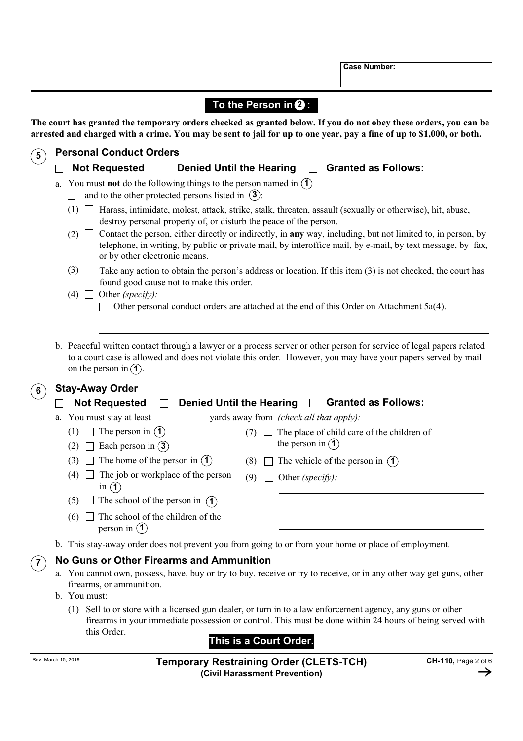**Case Number:**

|                     |                                                                                                                                 | To the Person in $\mathbf 2$ :                                                                                                                                                                                                                                                             |  |  |  |  |
|---------------------|---------------------------------------------------------------------------------------------------------------------------------|--------------------------------------------------------------------------------------------------------------------------------------------------------------------------------------------------------------------------------------------------------------------------------------------|--|--|--|--|
|                     |                                                                                                                                 | The court has granted the temporary orders checked as granted below. If you do not obey these orders, you can be<br>arrested and charged with a crime. You may be sent to jail for up to one year, pay a fine of up to \$1,000, or both.                                                   |  |  |  |  |
| $5^{\circ}$         |                                                                                                                                 | <b>Personal Conduct Orders</b>                                                                                                                                                                                                                                                             |  |  |  |  |
|                     |                                                                                                                                 | <b>Not Requested</b><br><b>Denied Until the Hearing</b><br><b>Granted as Follows:</b><br>$\Box$                                                                                                                                                                                            |  |  |  |  |
|                     | You must not do the following things to the person named in $(1)$<br>a.<br>and to the other protected persons listed in $(3)$ : |                                                                                                                                                                                                                                                                                            |  |  |  |  |
|                     |                                                                                                                                 | Harass, intimidate, molest, attack, strike, stalk, threaten, assault (sexually or otherwise), hit, abuse,<br>(1)<br>destroy personal property of, or disturb the peace of the person.                                                                                                      |  |  |  |  |
|                     |                                                                                                                                 | Contact the person, either directly or indirectly, in any way, including, but not limited to, in person, by<br>(2)<br>telephone, in writing, by public or private mail, by interoffice mail, by e-mail, by text message, by fax,<br>or by other electronic means.                          |  |  |  |  |
|                     |                                                                                                                                 | $(3)$ $\Box$<br>Take any action to obtain the person's address or location. If this item (3) is not checked, the court has<br>found good cause not to make this order.                                                                                                                     |  |  |  |  |
|                     |                                                                                                                                 | Other (specify):<br>$(4)$ $\Box$<br>Other personal conduct orders are attached at the end of this Order on Attachment 5a(4).                                                                                                                                                               |  |  |  |  |
|                     |                                                                                                                                 | b. Peaceful written contact through a lawyer or a process server or other person for service of legal papers related<br>to a court case is allowed and does not violate this order. However, you may have your papers served by mail<br>on the person in $(1)$ .<br><b>Stay-Away Order</b> |  |  |  |  |
| 6 <sup>1</sup>      |                                                                                                                                 | <b>Not Requested</b><br><b>Denied Until the Hearing</b><br><b>Granted as Follows:</b>                                                                                                                                                                                                      |  |  |  |  |
|                     | a.                                                                                                                              | You must stay at least<br>yards away from (check all that apply):                                                                                                                                                                                                                          |  |  |  |  |
|                     |                                                                                                                                 | The person in $(1)$<br>The place of child care of the children of<br>(1)<br>(7)<br>the person in $(1)$<br>Each person in $(3)$<br>(2)                                                                                                                                                      |  |  |  |  |
|                     |                                                                                                                                 | The home of the person in $(1)$<br>(3)<br>The vehicle of the person in $(1)$<br>(8)                                                                                                                                                                                                        |  |  |  |  |
|                     |                                                                                                                                 | The job or workplace of the person<br>(4)<br>(9)<br>Other (specify):<br>in $(1)$                                                                                                                                                                                                           |  |  |  |  |
|                     |                                                                                                                                 | The school of the person in $(1)$<br>(5)                                                                                                                                                                                                                                                   |  |  |  |  |
|                     |                                                                                                                                 | The school of the children of the<br>(6)<br>person in $(1)$                                                                                                                                                                                                                                |  |  |  |  |
|                     |                                                                                                                                 | b. This stay-away order does not prevent you from going to or from your home or place of employment.                                                                                                                                                                                       |  |  |  |  |
|                     |                                                                                                                                 | No Guns or Other Firearms and Ammunition                                                                                                                                                                                                                                                   |  |  |  |  |
|                     |                                                                                                                                 | a. You cannot own, possess, have, buy or try to buy, receive or try to receive, or in any other way get guns, other<br>firearms, or ammunition.<br>b. You must:                                                                                                                            |  |  |  |  |
|                     |                                                                                                                                 | (1) Sell to or store with a licensed gun dealer, or turn in to a law enforcement agency, any guns or other<br>firearms in your immediate possession or control. This must be done within 24 hours of being served with                                                                     |  |  |  |  |
|                     |                                                                                                                                 | this Order.<br>This is a Court Order.                                                                                                                                                                                                                                                      |  |  |  |  |
| Rev. March 15, 2019 |                                                                                                                                 | CH-110, Page 2 of 6<br><b>Temporary Restraining Order (CLETS-TCH)</b>                                                                                                                                                                                                                      |  |  |  |  |

Rev. March 15, 2019 **Temporary Restraining Order (CLETS-TCH) (Civil Harassment Prevention)**

→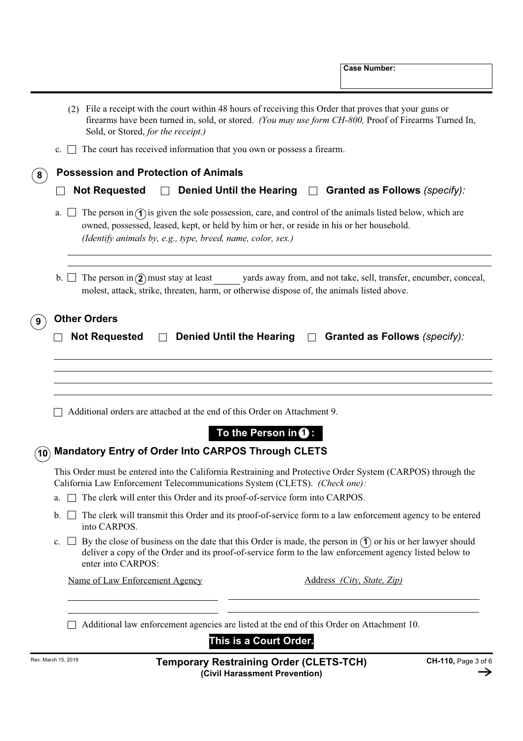| The court has received information that you own or possess a firearm.<br>$c. \perp \perp$<br><b>Possession and Protection of Animals</b><br>8<br><b>Not Requested</b><br>Denied Until the Hearing $\Box$ Granted as Follows (specify):<br>$\perp$<br>The person in $\hat{\mathcal{A}}$ is given the sole possession, care, and control of the animals listed below, which are<br>a.<br>owned, possessed, leased, kept, or held by him or her, or reside in his or her household.<br>(Identify animals by, e.g., type, breed, name, color, sex.)<br>The person in $(2)$ must stay at least<br>yards away from, and not take, sell, transfer, encumber, conceal,<br>$\mathfrak{b}$ . $\Box$<br>molest, attack, strike, threaten, harm, or otherwise dispose of, the animals listed above.<br><b>Other Orders</b><br><b>Not Requested</b><br><b>Denied Until the Hearing</b><br><b>Granted as Follows</b> (specify):<br>$\Box$<br>Additional orders are attached at the end of this Order on Attachment 9.<br>To the Person in $\mathbf 0$ :<br><b>Mandatory Entry of Order Into CARPOS Through CLETS</b><br>$\mathbf{\hat{10}}$<br>This Order must be entered into the California Restraining and Protective Order System (CARPOS) through the<br>California Law Enforcement Telecommunications System (CLETS). (Check one):<br>The clerk will enter this Order and its proof-of-service form into CARPOS.<br>a.<br>The clerk will transmit this Order and its proof-of-service form to a law enforcement agency to be entered<br>b.<br>into CARPOS.<br>By the close of business on the date that this Order is made, the person in $\hat{I}$ or his or her lawyer should<br>c.<br>deliver a copy of the Order and its proof-of-service form to the law enforcement agency listed below to<br>enter into CARPOS:<br>Name of Law Enforcement Agency<br>Address (City, State, Zip)<br>Additional law enforcement agencies are listed at the end of this Order on Attachment 10.<br>This is a Court Order.<br>Rev. March 15, 2019<br>CH-110, Page 3 of 6<br><b>Temporary Restraining Order (CLETS-TCH)</b> | (2) File a receipt with the court within 48 hours of receiving this Order that proves that your guns or<br>firearms have been turned in, sold, or stored. (You may use form CH-800, Proof of Firearms Turned In,<br>Sold, or Stored, for the receipt.) |  |  |  |  |
|-------------------------------------------------------------------------------------------------------------------------------------------------------------------------------------------------------------------------------------------------------------------------------------------------------------------------------------------------------------------------------------------------------------------------------------------------------------------------------------------------------------------------------------------------------------------------------------------------------------------------------------------------------------------------------------------------------------------------------------------------------------------------------------------------------------------------------------------------------------------------------------------------------------------------------------------------------------------------------------------------------------------------------------------------------------------------------------------------------------------------------------------------------------------------------------------------------------------------------------------------------------------------------------------------------------------------------------------------------------------------------------------------------------------------------------------------------------------------------------------------------------------------------------------------------------------------------------------------------------------------------------------------------------------------------------------------------------------------------------------------------------------------------------------------------------------------------------------------------------------------------------------------------------------------------------------------------------------------------------------------------------------------------------------------------------------------------------------------------|--------------------------------------------------------------------------------------------------------------------------------------------------------------------------------------------------------------------------------------------------------|--|--|--|--|
|                                                                                                                                                                                                                                                                                                                                                                                                                                                                                                                                                                                                                                                                                                                                                                                                                                                                                                                                                                                                                                                                                                                                                                                                                                                                                                                                                                                                                                                                                                                                                                                                                                                                                                                                                                                                                                                                                                                                                                                                                                                                                                       |                                                                                                                                                                                                                                                        |  |  |  |  |
|                                                                                                                                                                                                                                                                                                                                                                                                                                                                                                                                                                                                                                                                                                                                                                                                                                                                                                                                                                                                                                                                                                                                                                                                                                                                                                                                                                                                                                                                                                                                                                                                                                                                                                                                                                                                                                                                                                                                                                                                                                                                                                       |                                                                                                                                                                                                                                                        |  |  |  |  |
|                                                                                                                                                                                                                                                                                                                                                                                                                                                                                                                                                                                                                                                                                                                                                                                                                                                                                                                                                                                                                                                                                                                                                                                                                                                                                                                                                                                                                                                                                                                                                                                                                                                                                                                                                                                                                                                                                                                                                                                                                                                                                                       |                                                                                                                                                                                                                                                        |  |  |  |  |
|                                                                                                                                                                                                                                                                                                                                                                                                                                                                                                                                                                                                                                                                                                                                                                                                                                                                                                                                                                                                                                                                                                                                                                                                                                                                                                                                                                                                                                                                                                                                                                                                                                                                                                                                                                                                                                                                                                                                                                                                                                                                                                       |                                                                                                                                                                                                                                                        |  |  |  |  |
|                                                                                                                                                                                                                                                                                                                                                                                                                                                                                                                                                                                                                                                                                                                                                                                                                                                                                                                                                                                                                                                                                                                                                                                                                                                                                                                                                                                                                                                                                                                                                                                                                                                                                                                                                                                                                                                                                                                                                                                                                                                                                                       |                                                                                                                                                                                                                                                        |  |  |  |  |
|                                                                                                                                                                                                                                                                                                                                                                                                                                                                                                                                                                                                                                                                                                                                                                                                                                                                                                                                                                                                                                                                                                                                                                                                                                                                                                                                                                                                                                                                                                                                                                                                                                                                                                                                                                                                                                                                                                                                                                                                                                                                                                       |                                                                                                                                                                                                                                                        |  |  |  |  |
|                                                                                                                                                                                                                                                                                                                                                                                                                                                                                                                                                                                                                                                                                                                                                                                                                                                                                                                                                                                                                                                                                                                                                                                                                                                                                                                                                                                                                                                                                                                                                                                                                                                                                                                                                                                                                                                                                                                                                                                                                                                                                                       |                                                                                                                                                                                                                                                        |  |  |  |  |
|                                                                                                                                                                                                                                                                                                                                                                                                                                                                                                                                                                                                                                                                                                                                                                                                                                                                                                                                                                                                                                                                                                                                                                                                                                                                                                                                                                                                                                                                                                                                                                                                                                                                                                                                                                                                                                                                                                                                                                                                                                                                                                       |                                                                                                                                                                                                                                                        |  |  |  |  |
|                                                                                                                                                                                                                                                                                                                                                                                                                                                                                                                                                                                                                                                                                                                                                                                                                                                                                                                                                                                                                                                                                                                                                                                                                                                                                                                                                                                                                                                                                                                                                                                                                                                                                                                                                                                                                                                                                                                                                                                                                                                                                                       |                                                                                                                                                                                                                                                        |  |  |  |  |
|                                                                                                                                                                                                                                                                                                                                                                                                                                                                                                                                                                                                                                                                                                                                                                                                                                                                                                                                                                                                                                                                                                                                                                                                                                                                                                                                                                                                                                                                                                                                                                                                                                                                                                                                                                                                                                                                                                                                                                                                                                                                                                       |                                                                                                                                                                                                                                                        |  |  |  |  |
|                                                                                                                                                                                                                                                                                                                                                                                                                                                                                                                                                                                                                                                                                                                                                                                                                                                                                                                                                                                                                                                                                                                                                                                                                                                                                                                                                                                                                                                                                                                                                                                                                                                                                                                                                                                                                                                                                                                                                                                                                                                                                                       |                                                                                                                                                                                                                                                        |  |  |  |  |
|                                                                                                                                                                                                                                                                                                                                                                                                                                                                                                                                                                                                                                                                                                                                                                                                                                                                                                                                                                                                                                                                                                                                                                                                                                                                                                                                                                                                                                                                                                                                                                                                                                                                                                                                                                                                                                                                                                                                                                                                                                                                                                       |                                                                                                                                                                                                                                                        |  |  |  |  |
|                                                                                                                                                                                                                                                                                                                                                                                                                                                                                                                                                                                                                                                                                                                                                                                                                                                                                                                                                                                                                                                                                                                                                                                                                                                                                                                                                                                                                                                                                                                                                                                                                                                                                                                                                                                                                                                                                                                                                                                                                                                                                                       |                                                                                                                                                                                                                                                        |  |  |  |  |
|                                                                                                                                                                                                                                                                                                                                                                                                                                                                                                                                                                                                                                                                                                                                                                                                                                                                                                                                                                                                                                                                                                                                                                                                                                                                                                                                                                                                                                                                                                                                                                                                                                                                                                                                                                                                                                                                                                                                                                                                                                                                                                       |                                                                                                                                                                                                                                                        |  |  |  |  |
|                                                                                                                                                                                                                                                                                                                                                                                                                                                                                                                                                                                                                                                                                                                                                                                                                                                                                                                                                                                                                                                                                                                                                                                                                                                                                                                                                                                                                                                                                                                                                                                                                                                                                                                                                                                                                                                                                                                                                                                                                                                                                                       |                                                                                                                                                                                                                                                        |  |  |  |  |
|                                                                                                                                                                                                                                                                                                                                                                                                                                                                                                                                                                                                                                                                                                                                                                                                                                                                                                                                                                                                                                                                                                                                                                                                                                                                                                                                                                                                                                                                                                                                                                                                                                                                                                                                                                                                                                                                                                                                                                                                                                                                                                       |                                                                                                                                                                                                                                                        |  |  |  |  |
|                                                                                                                                                                                                                                                                                                                                                                                                                                                                                                                                                                                                                                                                                                                                                                                                                                                                                                                                                                                                                                                                                                                                                                                                                                                                                                                                                                                                                                                                                                                                                                                                                                                                                                                                                                                                                                                                                                                                                                                                                                                                                                       |                                                                                                                                                                                                                                                        |  |  |  |  |
|                                                                                                                                                                                                                                                                                                                                                                                                                                                                                                                                                                                                                                                                                                                                                                                                                                                                                                                                                                                                                                                                                                                                                                                                                                                                                                                                                                                                                                                                                                                                                                                                                                                                                                                                                                                                                                                                                                                                                                                                                                                                                                       |                                                                                                                                                                                                                                                        |  |  |  |  |

**(Civil Harassment Prevention)**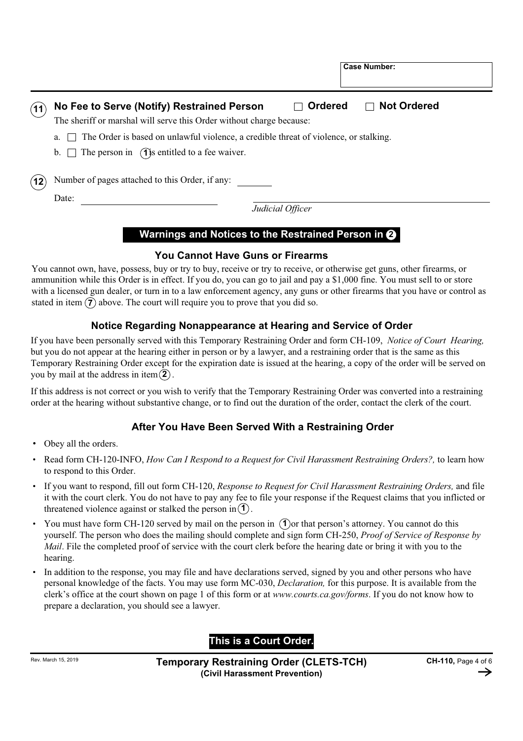| <b>Ordered</b><br><b>Not Ordered</b><br>No Fee to Serve (Notify) Restrained Person<br>$\Box$<br>The sheriff or marshal will serve this Order without charge because: |
|----------------------------------------------------------------------------------------------------------------------------------------------------------------------|
| The Order is based on unlawful violence, a credible threat of violence, or stalking.<br>a.<br>b. $\Box$ The person in (1) is entitled to a fee waiver.               |
| Number of pages attached to this Order, if any:<br>Date:                                                                                                             |
| Judicial Officer                                                                                                                                                     |

**Case Number:**

# **Warnings and Notices to the Restrained Person in 2**

# **You Cannot Have Guns or Firearms**

You cannot own, have, possess, buy or try to buy, receive or try to receive, or otherwise get guns, other firearms, or ammunition while this Order is in effect. If you do, you can go to jail and pay a \$1,000 fine. You must sell to or store with a licensed gun dealer, or turn in to a law enforcement agency, any guns or other firearms that you have or control as stated in item  $\overline{7}$  above. The court will require you to prove that you did so.

# **Notice Regarding Nonappearance at Hearing and Service of Order**

If you have been personally served with this Temporary Restraining Order and form CH-109, *Notice of Court Hearing,* but you do not appear at the hearing either in person or by a lawyer, and a restraining order that is the same as this Temporary Restraining Order except for the expiration date is issued at the hearing, a copy of the order will be served on you by mail at the address in item $(2)$ .

If this address is not correct or you wish to verify that the Temporary Restraining Order was converted into a restraining order at the hearing without substantive change, or to find out the duration of the order, contact the clerk of the court.

# **After You Have Been Served With a Restraining Order**

- Obey all the orders. •
- Read form CH-120-INFO, *How Can I Respond to a Request for Civil Harassment Restraining Orders?,* to learn how to respond to this Order.
- If you want to respond, fill out form CH-120, *Response to Request for Civil Harassment Restraining Orders,* and file it with the court clerk. You do not have to pay any fee to file your response if the Request claims that you inflicted or threatened violence against or stalked the person in  $(1)$ .
- You must have form CH-120 served by mail on the person in  $(1)$  or that person's attorney. You cannot do this yourself. The person who does the mailing should complete and sign form CH-250, *Proof of Service of Response by Mail*. File the completed proof of service with the court clerk before the hearing date or bring it with you to the hearing.
- In addition to the response, you may file and have declarations served, signed by you and other persons who have personal knowledge of the facts. You may use form MC-030, *Declaration,* for this purpose. It is available from the clerk's office at the court shown on page 1 of this form or at *www.courts.ca.gov/forms*. If you do not know how to prepare a declaration, you should see a lawyer. •

# **This is a Court Order.**

Rev. March 15, 2019 **Temporary Restraining Order (CLETS-TCH) (Civil Harassment Prevention)**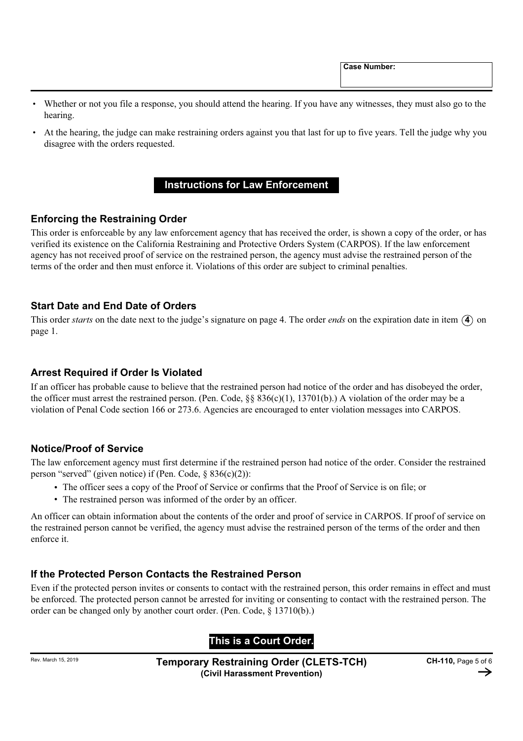**Case Number:**

- Whether or not you file a response, you should attend the hearing. If you have any witnesses, they must also go to the hearing.
- At the hearing, the judge can make restraining orders against you that last for up to five years. Tell the judge why you disagree with the orders requested.

# **Instructions for Law Enforcement**

# **Enforcing the Restraining Order**

This order is enforceable by any law enforcement agency that has received the order, is shown a copy of the order, or has verified its existence on the California Restraining and Protective Orders System (CARPOS). If the law enforcement agency has not received proof of service on the restrained person, the agency must advise the restrained person of the terms of the order and then must enforce it. Violations of this order are subject to criminal penalties.

#### **Start Date and End Date of Orders**

This order *starts* on the date next to the judge's signature on page 4. The order *ends* on the expiration date in item  $(4)$  on page 1.

# **Arrest Required if Order Is Violated**

If an officer has probable cause to believe that the restrained person had notice of the order and has disobeyed the order, the officer must arrest the restrained person. (Pen. Code, §§ 836(c)(1), 13701(b).) A violation of the order may be a violation of Penal Code section 166 or 273.6. Agencies are encouraged to enter violation messages into CARPOS.

# **Notice/Proof of Service**

The law enforcement agency must first determine if the restrained person had notice of the order. Consider the restrained person "served" (given notice) if (Pen. Code, § 836(c)(2)):

- The officer sees a copy of the Proof of Service or confirms that the Proof of Service is on file; or
- The restrained person was informed of the order by an officer.

An officer can obtain information about the contents of the order and proof of service in CARPOS. If proof of service on the restrained person cannot be verified, the agency must advise the restrained person of the terms of the order and then enforce it.

# **If the Protected Person Contacts the Restrained Person**

Even if the protected person invites or consents to contact with the restrained person, this order remains in effect and must be enforced. The protected person cannot be arrested for inviting or consenting to contact with the restrained person. The order can be changed only by another court order. (Pen. Code, § 13710(b).)

# **This is a Court Order.**